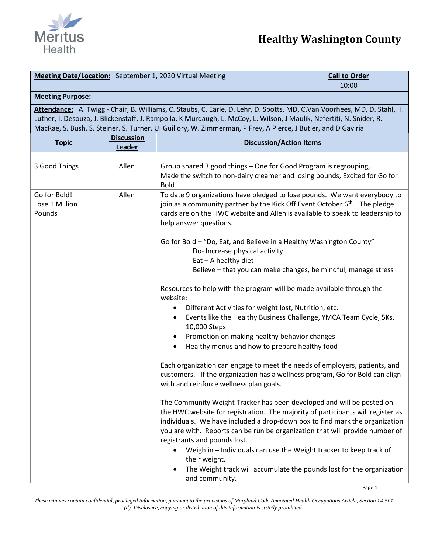

| <b>Meeting Date/Location:</b> September 1, 2020 Virtual Meeting                                                                                                                                                                                                                                                                                                   |                             |                                                                                                                                                                                                                                                                                                                                                         | <b>Call to Order</b><br>10:00                                                                                                               |  |
|-------------------------------------------------------------------------------------------------------------------------------------------------------------------------------------------------------------------------------------------------------------------------------------------------------------------------------------------------------------------|-----------------------------|---------------------------------------------------------------------------------------------------------------------------------------------------------------------------------------------------------------------------------------------------------------------------------------------------------------------------------------------------------|---------------------------------------------------------------------------------------------------------------------------------------------|--|
| <b>Meeting Purpose:</b>                                                                                                                                                                                                                                                                                                                                           |                             |                                                                                                                                                                                                                                                                                                                                                         |                                                                                                                                             |  |
| Attendance: A. Twigg - Chair, B. Williams, C. Staubs, C. Earle, D. Lehr, D. Spotts, MD, C.Van Voorhees, MD, D. Stahl, H.<br>Luther, I. Desouza, J. Blickenstaff, J. Rampolla, K Murdaugh, L. McCoy, L. Wilson, J Maulik, Nefertiti, N. Snider, R.<br>MacRae, S. Bush, S. Steiner. S. Turner, U. Guillory, W. Zimmerman, P Frey, A Pierce, J Butler, and D Gaviria |                             |                                                                                                                                                                                                                                                                                                                                                         |                                                                                                                                             |  |
| <b>Topic</b>                                                                                                                                                                                                                                                                                                                                                      | <b>Discussion</b><br>Leader | <b>Discussion/Action Items</b>                                                                                                                                                                                                                                                                                                                          |                                                                                                                                             |  |
| 3 Good Things                                                                                                                                                                                                                                                                                                                                                     | Allen                       | Group shared 3 good things - One for Good Program is regrouping,<br>Made the switch to non-dairy creamer and losing pounds, Excited for Go for<br>Bold!                                                                                                                                                                                                 |                                                                                                                                             |  |
| Go for Bold!<br>Lose 1 Million<br>Pounds                                                                                                                                                                                                                                                                                                                          | Allen                       | To date 9 organizations have pledged to lose pounds. We want everybody to<br>join as a community partner by the Kick Off Event October 6 <sup>th</sup> . The pledge<br>cards are on the HWC website and Allen is available to speak to leadership to<br>help answer questions.                                                                          |                                                                                                                                             |  |
|                                                                                                                                                                                                                                                                                                                                                                   |                             | Go for Bold - "Do, Eat, and Believe in a Healthy Washington County"<br>Do- Increase physical activity<br>Eat - A healthy diet                                                                                                                                                                                                                           | Believe - that you can make changes, be mindful, manage stress                                                                              |  |
|                                                                                                                                                                                                                                                                                                                                                                   |                             | Resources to help with the program will be made available through the<br>website:                                                                                                                                                                                                                                                                       |                                                                                                                                             |  |
|                                                                                                                                                                                                                                                                                                                                                                   |                             | Different Activities for weight lost, Nutrition, etc.<br>$\bullet$<br>٠<br>10,000 Steps<br>Promotion on making healthy behavior changes<br>٠                                                                                                                                                                                                            | Events like the Healthy Business Challenge, YMCA Team Cycle, 5Ks,                                                                           |  |
|                                                                                                                                                                                                                                                                                                                                                                   |                             | Healthy menus and how to prepare healthy food<br>$\bullet$                                                                                                                                                                                                                                                                                              |                                                                                                                                             |  |
|                                                                                                                                                                                                                                                                                                                                                                   |                             | Each organization can engage to meet the needs of employers, patients, and<br>customers. If the organization has a wellness program, Go for Bold can align<br>with and reinforce wellness plan goals.                                                                                                                                                   |                                                                                                                                             |  |
|                                                                                                                                                                                                                                                                                                                                                                   |                             | The Community Weight Tracker has been developed and will be posted on<br>the HWC website for registration. The majority of participants will register as<br>individuals. We have included a drop-down box to find mark the organization<br>you are with. Reports can be run be organization that will provide number of<br>registrants and pounds lost. |                                                                                                                                             |  |
|                                                                                                                                                                                                                                                                                                                                                                   |                             | their weight.<br>and community.                                                                                                                                                                                                                                                                                                                         | Weigh in - Individuals can use the Weight tracker to keep track of<br>The Weight track will accumulate the pounds lost for the organization |  |

*These minutes contain confidential, privileged information, pursuant to the provisions of Maryland Code Annotated Health Occupations Article, Section 14-501 (d). Disclosure, copying or distribution of this information is strictly prohibited*.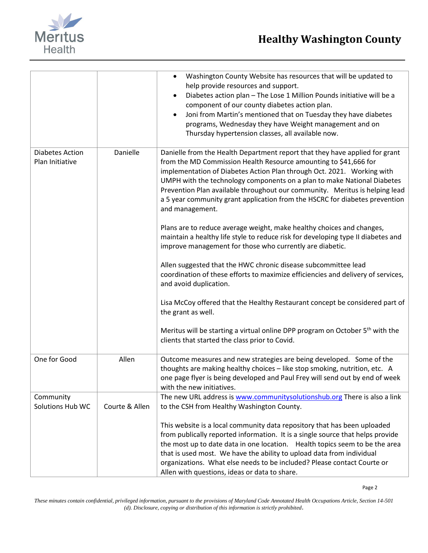

|                                           |                | Washington County Website has resources that will be updated to<br>$\bullet$<br>help provide resources and support.<br>Diabetes action plan - The Lose 1 Million Pounds initiative will be a<br>component of our county diabetes action plan.<br>Joni from Martin's mentioned that on Tuesday they have diabetes<br>programs, Wednesday they have Weight management and on<br>Thursday hypertension classes, all available now.                                                       |
|-------------------------------------------|----------------|---------------------------------------------------------------------------------------------------------------------------------------------------------------------------------------------------------------------------------------------------------------------------------------------------------------------------------------------------------------------------------------------------------------------------------------------------------------------------------------|
| <b>Diabetes Action</b><br>Plan Initiative | Danielle       | Danielle from the Health Department report that they have applied for grant<br>from the MD Commission Health Resource amounting to \$41,666 for<br>implementation of Diabetes Action Plan through Oct. 2021. Working with<br>UMPH with the technology components on a plan to make National Diabetes<br>Prevention Plan available throughout our community. Meritus is helping lead<br>a 5 year community grant application from the HSCRC for diabetes prevention<br>and management. |
|                                           |                | Plans are to reduce average weight, make healthy choices and changes,<br>maintain a healthy life style to reduce risk for developing type II diabetes and<br>improve management for those who currently are diabetic.                                                                                                                                                                                                                                                                 |
|                                           |                | Allen suggested that the HWC chronic disease subcommittee lead<br>coordination of these efforts to maximize efficiencies and delivery of services,<br>and avoid duplication.                                                                                                                                                                                                                                                                                                          |
|                                           |                | Lisa McCoy offered that the Healthy Restaurant concept be considered part of<br>the grant as well.                                                                                                                                                                                                                                                                                                                                                                                    |
|                                           |                | Meritus will be starting a virtual online DPP program on October 5 <sup>th</sup> with the<br>clients that started the class prior to Covid.                                                                                                                                                                                                                                                                                                                                           |
| One for Good                              | Allen          | Outcome measures and new strategies are being developed. Some of the<br>thoughts are making healthy choices - like stop smoking, nutrition, etc. A<br>one page flyer is being developed and Paul Frey will send out by end of week<br>with the new initiatives.                                                                                                                                                                                                                       |
| Community                                 |                | The new URL address is www.communitysolutionshub.org There is also a link                                                                                                                                                                                                                                                                                                                                                                                                             |
| Solutions Hub WC                          | Courte & Allen | to the CSH from Healthy Washington County.                                                                                                                                                                                                                                                                                                                                                                                                                                            |
|                                           |                | This website is a local community data repository that has been uploaded<br>from publically reported information. It is a single source that helps provide<br>the most up to date data in one location. Health topics seem to be the area<br>that is used most. We have the ability to upload data from individual<br>organizations. What else needs to be included? Please contact Courte or<br>Allen with questions, ideas or data to share.                                        |

*These minutes contain confidential, privileged information, pursuant to the provisions of Maryland Code Annotated Health Occupations Article, Section 14-501 (d). Disclosure, copying or distribution of this information is strictly prohibited*.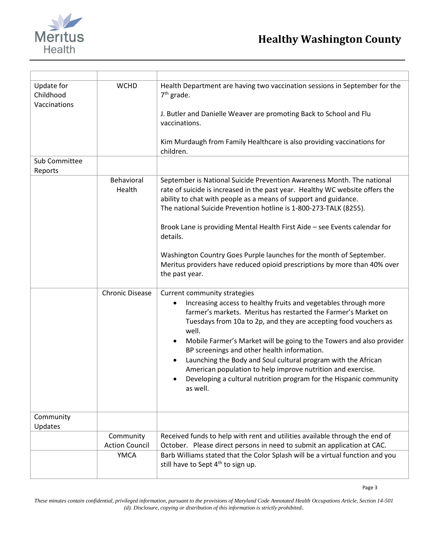

| Update for<br>Childhood<br>Vaccinations | <b>WCHD</b>            | Health Department are having two vaccination sessions in September for the<br>$7th$ grade.<br>J. Butler and Danielle Weaver are promoting Back to School and Flu<br>vaccinations.<br>Kim Murdaugh from Family Healthcare is also providing vaccinations for<br>children.                                                                                                                                                                                                                                                                                                                                  |
|-----------------------------------------|------------------------|-----------------------------------------------------------------------------------------------------------------------------------------------------------------------------------------------------------------------------------------------------------------------------------------------------------------------------------------------------------------------------------------------------------------------------------------------------------------------------------------------------------------------------------------------------------------------------------------------------------|
| Sub Committee<br>Reports                |                        |                                                                                                                                                                                                                                                                                                                                                                                                                                                                                                                                                                                                           |
|                                         | Behavioral<br>Health   | September is National Suicide Prevention Awareness Month. The national<br>rate of suicide is increased in the past year. Healthy WC website offers the<br>ability to chat with people as a means of support and guidance.<br>The national Suicide Prevention hotline is 1-800-273-TALK (8255).<br>Brook Lane is providing Mental Health First Aide - see Events calendar for<br>details.<br>Washington Country Goes Purple launches for the month of September.<br>Meritus providers have reduced opioid prescriptions by more than 40% over<br>the past year.                                            |
|                                         | <b>Chronic Disease</b> | Current community strategies<br>Increasing access to healthy fruits and vegetables through more<br>farmer's markets. Meritus has restarted the Farmer's Market on<br>Tuesdays from 10a to 2p, and they are accepting food vouchers as<br>well.<br>Mobile Farmer's Market will be going to the Towers and also provider<br>٠<br>BP screenings and other health information.<br>Launching the Body and Soul cultural program with the African<br>$\bullet$<br>American population to help improve nutrition and exercise.<br>Developing a cultural nutrition program for the Hispanic community<br>as well. |
| Community<br>Updates                    |                        |                                                                                                                                                                                                                                                                                                                                                                                                                                                                                                                                                                                                           |
|                                         | Community              | Received funds to help with rent and utilities available through the end of                                                                                                                                                                                                                                                                                                                                                                                                                                                                                                                               |
|                                         | <b>Action Council</b>  | October. Please direct persons in need to submit an application at CAC.                                                                                                                                                                                                                                                                                                                                                                                                                                                                                                                                   |
|                                         | <b>YMCA</b>            | Barb Williams stated that the Color Splash will be a virtual function and you<br>still have to Sept 4 <sup>th</sup> to sign up.                                                                                                                                                                                                                                                                                                                                                                                                                                                                           |

*These minutes contain confidential, privileged information, pursuant to the provisions of Maryland Code Annotated Health Occupations Article, Section 14-501 (d). Disclosure, copying or distribution of this information is strictly prohibited*.